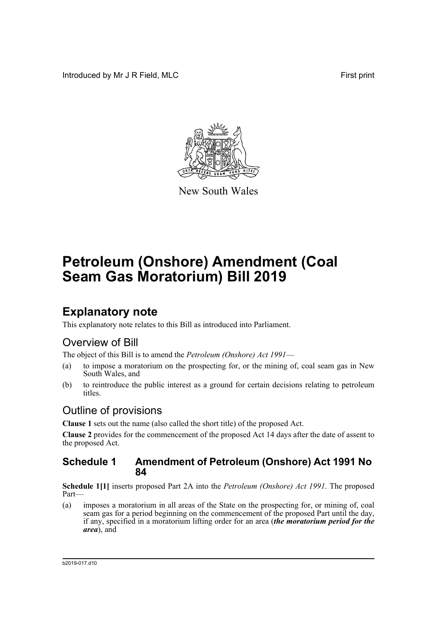Introduced by Mr J R Field, MLC **First print** 



New South Wales

# **Petroleum (Onshore) Amendment (Coal Seam Gas Moratorium) Bill 2019**

## **Explanatory note**

This explanatory note relates to this Bill as introduced into Parliament.

## Overview of Bill

The object of this Bill is to amend the *Petroleum (Onshore) Act 1991*—

- (a) to impose a moratorium on the prospecting for, or the mining of, coal seam gas in New South Wales, and
- (b) to reintroduce the public interest as a ground for certain decisions relating to petroleum titles.

### Outline of provisions

**Clause 1** sets out the name (also called the short title) of the proposed Act.

**Clause 2** provides for the commencement of the proposed Act 14 days after the date of assent to the proposed Act.

### **Schedule 1 Amendment of Petroleum (Onshore) Act 1991 No 84**

**Schedule 1[1]** inserts proposed Part 2A into the *Petroleum (Onshore) Act 1991*. The proposed Part—

(a) imposes a moratorium in all areas of the State on the prospecting for, or mining of, coal seam gas for a period beginning on the commencement of the proposed Part until the day, if any, specified in a moratorium lifting order for an area (*the moratorium period for the area*), and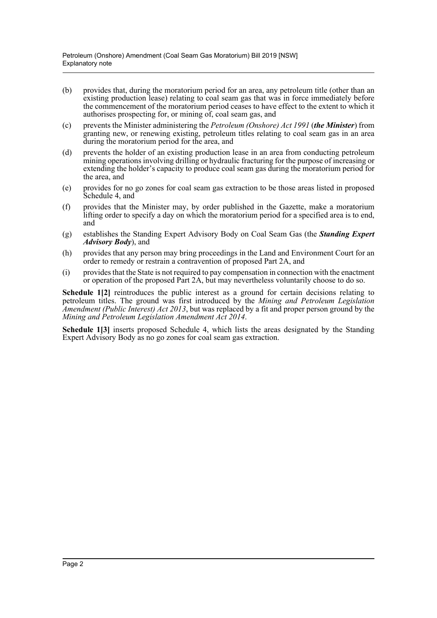- (b) provides that, during the moratorium period for an area, any petroleum title (other than an existing production lease) relating to coal seam gas that was in force immediately before the commencement of the moratorium period ceases to have effect to the extent to which it authorises prospecting for, or mining of, coal seam gas, and
- (c) prevents the Minister administering the *Petroleum (Onshore) Act 1991* (*the Minister*) from granting new, or renewing existing, petroleum titles relating to coal seam gas in an area during the moratorium period for the area, and
- (d) prevents the holder of an existing production lease in an area from conducting petroleum mining operations involving drilling or hydraulic fracturing for the purpose of increasing or extending the holder's capacity to produce coal seam gas during the moratorium period for the area, and
- (e) provides for no go zones for coal seam gas extraction to be those areas listed in proposed Schedule 4, and
- (f) provides that the Minister may, by order published in the Gazette, make a moratorium lifting order to specify a day on which the moratorium period for a specified area is to end, and
- (g) establishes the Standing Expert Advisory Body on Coal Seam Gas (the *Standing Expert Advisory Body*), and
- (h) provides that any person may bring proceedings in the Land and Environment Court for an order to remedy or restrain a contravention of proposed Part 2A, and
- (i) provides that the State is not required to pay compensation in connection with the enactment or operation of the proposed Part 2A, but may nevertheless voluntarily choose to do so.

**Schedule 1[2]** reintroduces the public interest as a ground for certain decisions relating to petroleum titles. The ground was first introduced by the *Mining and Petroleum Legislation Amendment (Public Interest) Act 2013*, but was replaced by a fit and proper person ground by the *Mining and Petroleum Legislation Amendment Act 2014*.

**Schedule 1[3]** inserts proposed Schedule 4, which lists the areas designated by the Standing Expert Advisory Body as no go zones for coal seam gas extraction.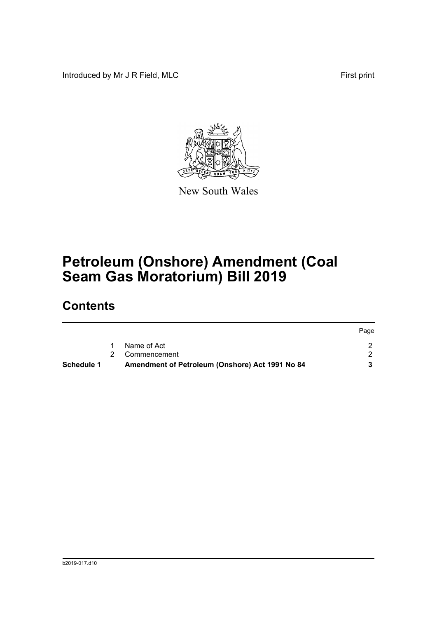Introduced by Mr J R Field, MLC First print



New South Wales

# **Petroleum (Onshore) Amendment (Coal Seam Gas Moratorium) Bill 2019**

## **Contents**

| Schedule 1 | Amendment of Petroleum (Onshore) Act 1991 No 84 |      |
|------------|-------------------------------------------------|------|
|            | 2 Commencement                                  |      |
|            | Name of Act                                     |      |
|            |                                                 | Page |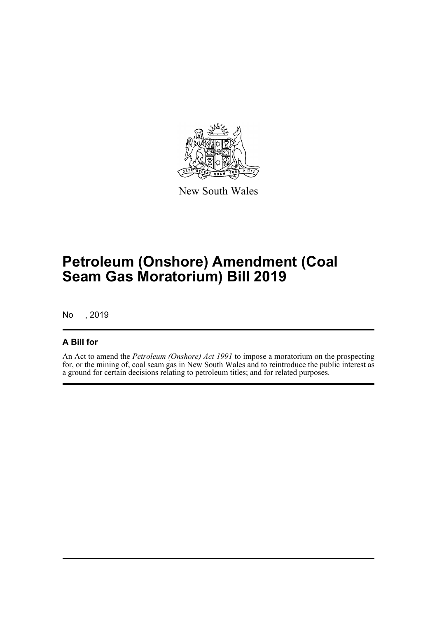

New South Wales

# **Petroleum (Onshore) Amendment (Coal Seam Gas Moratorium) Bill 2019**

No , 2019

#### **A Bill for**

An Act to amend the *Petroleum (Onshore) Act 1991* to impose a moratorium on the prospecting for, or the mining of, coal seam gas in New South Wales and to reintroduce the public interest as a ground for certain decisions relating to petroleum titles; and for related purposes.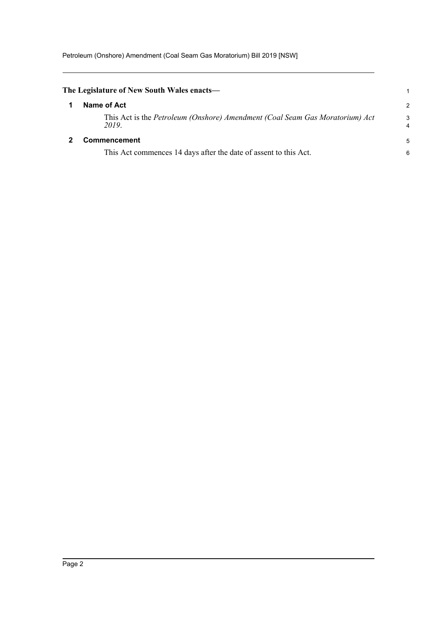<span id="page-4-1"></span><span id="page-4-0"></span>

| The Legislature of New South Wales enacts—                                            | 1      |
|---------------------------------------------------------------------------------------|--------|
| Name of Act                                                                           | 2      |
| This Act is the Petroleum (Onshore) Amendment (Coal Seam Gas Moratorium) Act<br>2019. | 3<br>4 |
| <b>Commencement</b>                                                                   | 5      |
| This Act commences 14 days after the date of assent to this Act.                      | 6      |
|                                                                                       |        |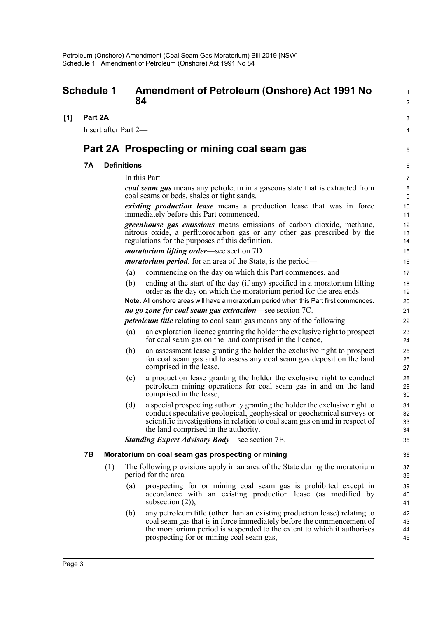<span id="page-5-0"></span>

| <b>Schedule 1</b> |           |                      | <b>Amendment of Petroleum (Onshore) Act 1991 No</b><br>84 | $\mathbf{1}$<br>$\overline{2}$                                                                                                                                                                                                                                             |                      |  |  |  |
|-------------------|-----------|----------------------|-----------------------------------------------------------|----------------------------------------------------------------------------------------------------------------------------------------------------------------------------------------------------------------------------------------------------------------------------|----------------------|--|--|--|
| [1]               | Part 2A   |                      |                                                           |                                                                                                                                                                                                                                                                            | 3                    |  |  |  |
|                   |           | Insert after Part 2— |                                                           |                                                                                                                                                                                                                                                                            |                      |  |  |  |
|                   |           |                      |                                                           | Part 2A Prospecting or mining coal seam gas                                                                                                                                                                                                                                | 5                    |  |  |  |
|                   | <b>7A</b> |                      | <b>Definitions</b>                                        |                                                                                                                                                                                                                                                                            | 6                    |  |  |  |
|                   |           |                      |                                                           | In this Part—                                                                                                                                                                                                                                                              | $\overline{7}$       |  |  |  |
|                   |           |                      |                                                           | coal seam gas means any petroleum in a gaseous state that is extracted from<br>coal seams or beds, shales or tight sands.                                                                                                                                                  | 8<br>9               |  |  |  |
|                   |           |                      |                                                           | <i>existing production lease</i> means a production lease that was in force<br>immediately before this Part commenced.                                                                                                                                                     | 10<br>11             |  |  |  |
|                   |           |                      |                                                           | <i>greenhouse gas emissions</i> means emissions of carbon dioxide, methane,<br>nitrous oxide, a perfluorocarbon gas or any other gas prescribed by the<br>regulations for the purposes of this definition.                                                                 | 12<br>13<br>14       |  |  |  |
|                   |           |                      |                                                           | <i>moratorium lifting order</i> —see section 7D.                                                                                                                                                                                                                           | 15                   |  |  |  |
|                   |           |                      |                                                           | <i>moratorium period</i> , for an area of the State, is the period—                                                                                                                                                                                                        | 16                   |  |  |  |
|                   |           |                      | (a)                                                       | commencing on the day on which this Part commences, and                                                                                                                                                                                                                    | 17                   |  |  |  |
|                   |           |                      | (b)                                                       | ending at the start of the day (if any) specified in a moratorium lifting<br>order as the day on which the moratorium period for the area ends.                                                                                                                            | 18<br>19             |  |  |  |
|                   |           |                      |                                                           | Note. All onshore areas will have a moratorium period when this Part first commences.                                                                                                                                                                                      | 20                   |  |  |  |
|                   |           |                      |                                                           | no go zone for coal seam gas extraction-see section 7C.<br><i>petroleum title</i> relating to coal seam gas means any of the following—                                                                                                                                    | 21<br>22             |  |  |  |
|                   |           |                      | (a)                                                       | an exploration licence granting the holder the exclusive right to prospect                                                                                                                                                                                                 | 23                   |  |  |  |
|                   |           |                      |                                                           | for coal seam gas on the land comprised in the licence,                                                                                                                                                                                                                    | 24                   |  |  |  |
|                   |           |                      | (b)                                                       | an assessment lease granting the holder the exclusive right to prospect<br>for coal seam gas and to assess any coal seam gas deposit on the land<br>comprised in the lease,                                                                                                | 25<br>26<br>27       |  |  |  |
|                   |           |                      | (c)                                                       | a production lease granting the holder the exclusive right to conduct<br>petroleum mining operations for coal seam gas in and on the land<br>comprised in the lease,                                                                                                       | 28<br>29<br>30       |  |  |  |
|                   |           |                      | (d)                                                       | a special prospecting authority granting the holder the exclusive right to<br>conduct speculative geological, geophysical or geochemical surveys or<br>scientific investigations in relation to coal seam gas on and in respect of<br>the land comprised in the authority. | 31<br>32<br>33<br>34 |  |  |  |
|                   |           |                      |                                                           | <b>Standing Expert Advisory Body—see section 7E.</b>                                                                                                                                                                                                                       | 35                   |  |  |  |
|                   | 7В        |                      |                                                           | Moratorium on coal seam gas prospecting or mining                                                                                                                                                                                                                          | 36                   |  |  |  |
|                   |           | (1)                  |                                                           | The following provisions apply in an area of the State during the moratorium<br>period for the area—                                                                                                                                                                       | 37<br>38             |  |  |  |
|                   |           |                      | (a)                                                       | prospecting for or mining coal seam gas is prohibited except in<br>accordance with an existing production lease (as modified by<br>subsection $(2)$ ),                                                                                                                     | 39<br>40<br>41       |  |  |  |
|                   |           |                      | (b)                                                       | any petroleum title (other than an existing production lease) relating to<br>coal seam gas that is in force immediately before the commencement of<br>the moratorium period is suspended to the extent to which it authorises<br>prospecting for or mining coal seam gas,  | 42<br>43<br>44<br>45 |  |  |  |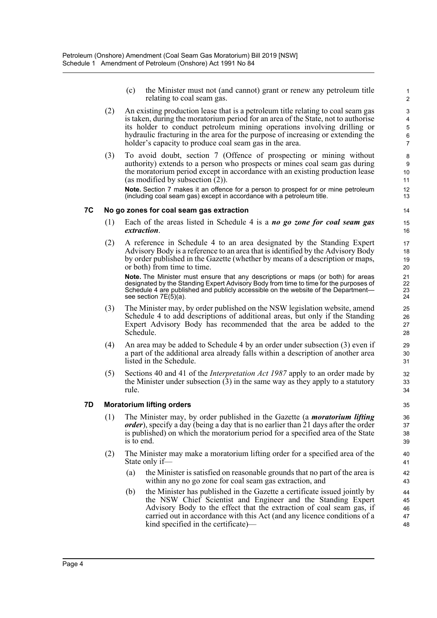(c) the Minister must not (and cannot) grant or renew any petroleum title relating to coal seam gas.

- (2) An existing production lease that is a petroleum title relating to coal seam gas is taken, during the moratorium period for an area of the State, not to authorise its holder to conduct petroleum mining operations involving drilling or hydraulic fracturing in the area for the purpose of increasing or extending the holder's capacity to produce coal seam gas in the area.
- (3) To avoid doubt, section 7 (Offence of prospecting or mining without authority) extends to a person who prospects or mines coal seam gas during the moratorium period except in accordance with an existing production lease (as modified by subsection  $(2)$ ).

**Note.** Section 7 makes it an offence for a person to prospect for or mine petroleum (including coal seam gas) except in accordance with a petroleum title.

#### **7C No go zones for coal seam gas extraction**

- (1) Each of the areas listed in Schedule 4 is a *no go zone for coal seam gas extraction*.
- (2) A reference in Schedule 4 to an area designated by the Standing Expert Advisory Body is a reference to an area that is identified by the Advisory Body by order published in the Gazette (whether by means of a description or maps, or both) from time to time.

**Note.** The Minister must ensure that any descriptions or maps (or both) for areas designated by the Standing Expert Advisory Body from time to time for the purposes of Schedule 4 are published and publicly accessible on the website of the Department see section 7E(5)(a).

- (3) The Minister may, by order published on the NSW legislation website, amend Schedule 4 to add descriptions of additional areas, but only if the Standing Expert Advisory Body has recommended that the area be added to the Schedule.
- (4) An area may be added to Schedule 4 by an order under subsection (3) even if a part of the additional area already falls within a description of another area listed in the Schedule.
- (5) Sections 40 and 41 of the *Interpretation Act 1987* apply to an order made by the Minister under subsection  $(3)$  in the same way as they apply to a statutory rule.

#### **7D Moratorium lifting orders**

- (1) The Minister may, by order published in the Gazette (a *moratorium lifting order*), specify a day (being a day that is no earlier than 21 days after the order is published) on which the moratorium period for a specified area of the State is to end.
- (2) The Minister may make a moratorium lifting order for a specified area of the State only if—
	- (a) the Minister is satisfied on reasonable grounds that no part of the area is within any no go zone for coal seam gas extraction, and
	- (b) the Minister has published in the Gazette a certificate issued jointly by the NSW Chief Scientist and Engineer and the Standing Expert Advisory Body to the effect that the extraction of coal seam gas, if carried out in accordance with this Act (and any licence conditions of a kind specified in the certificate)—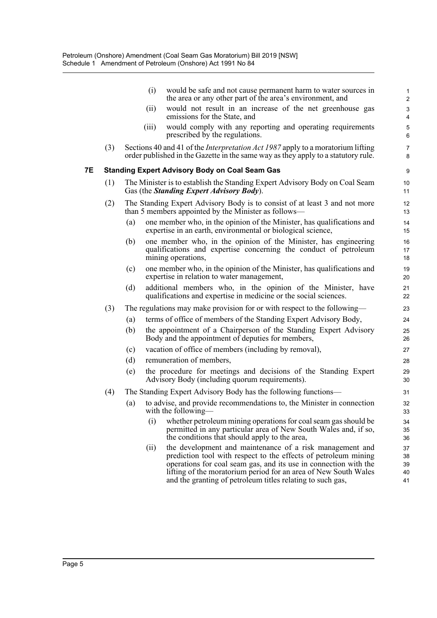|    |     |     | (i)   | would be safe and not cause permanent harm to water sources in<br>the area or any other part of the area's environment, and                                                                                                                                                                                                      | $\mathbf{1}$<br>2          |
|----|-----|-----|-------|----------------------------------------------------------------------------------------------------------------------------------------------------------------------------------------------------------------------------------------------------------------------------------------------------------------------------------|----------------------------|
|    |     |     | (ii)  | would not result in an increase of the net greenhouse gas<br>emissions for the State, and                                                                                                                                                                                                                                        | 3<br>4                     |
|    |     |     | (iii) | would comply with any reporting and operating requirements<br>prescribed by the regulations.                                                                                                                                                                                                                                     | 5<br>6                     |
|    | (3) |     |       | Sections 40 and 41 of the <i>Interpretation Act 1987</i> apply to a moratorium lifting<br>order published in the Gazette in the same way as they apply to a statutory rule.                                                                                                                                                      | $\overline{7}$<br>8        |
| 7Е |     |     |       | <b>Standing Expert Advisory Body on Coal Seam Gas</b>                                                                                                                                                                                                                                                                            | 9                          |
|    | (1) |     |       | The Minister is to establish the Standing Expert Advisory Body on Coal Seam<br>Gas (the <i>Standing Expert Advisory Body</i> ).                                                                                                                                                                                                  | 10 <sup>1</sup><br>11      |
|    | (2) |     |       | The Standing Expert Advisory Body is to consist of at least 3 and not more<br>than 5 members appointed by the Minister as follows—                                                                                                                                                                                               | 12<br>13                   |
|    |     | (a) |       | one member who, in the opinion of the Minister, has qualifications and<br>expertise in an earth, environmental or biological science,                                                                                                                                                                                            | 14<br>15                   |
|    |     | (b) |       | one member who, in the opinion of the Minister, has engineering<br>qualifications and expertise concerning the conduct of petroleum<br>mining operations,                                                                                                                                                                        | 16<br>17<br>18             |
|    |     | (c) |       | one member who, in the opinion of the Minister, has qualifications and<br>expertise in relation to water management,                                                                                                                                                                                                             | 19<br>20                   |
|    |     | (d) |       | additional members who, in the opinion of the Minister, have<br>qualifications and expertise in medicine or the social sciences.                                                                                                                                                                                                 | 21<br>22                   |
|    | (3) |     |       | The regulations may make provision for or with respect to the following—                                                                                                                                                                                                                                                         | 23                         |
|    |     | (a) |       | terms of office of members of the Standing Expert Advisory Body,                                                                                                                                                                                                                                                                 | 24                         |
|    |     | (b) |       | the appointment of a Chairperson of the Standing Expert Advisory<br>Body and the appointment of deputies for members,                                                                                                                                                                                                            | 25<br>26                   |
|    |     | (c) |       | vacation of office of members (including by removal),                                                                                                                                                                                                                                                                            | 27                         |
|    |     | (d) |       | remuneration of members,                                                                                                                                                                                                                                                                                                         | 28                         |
|    |     | (e) |       | the procedure for meetings and decisions of the Standing Expert<br>Advisory Body (including quorum requirements).                                                                                                                                                                                                                | 29<br>30                   |
|    | (4) |     |       | The Standing Expert Advisory Body has the following functions—                                                                                                                                                                                                                                                                   | 31                         |
|    |     | (a) |       | to advise, and provide recommendations to, the Minister in connection<br>with the following—                                                                                                                                                                                                                                     | 32<br>33                   |
|    |     |     | (i)   | whether petroleum mining operations for coal seam gas should be<br>permitted in any particular area of New South Wales and, if so,<br>the conditions that should apply to the area,                                                                                                                                              | 34<br>35<br>36             |
|    |     |     | (ii)  | the development and maintenance of a risk management and<br>prediction tool with respect to the effects of petroleum mining<br>operations for coal seam gas, and its use in connection with the<br>lifting of the moratorium period for an area of New South Wales<br>and the granting of petroleum titles relating to such gas, | 37<br>38<br>39<br>40<br>41 |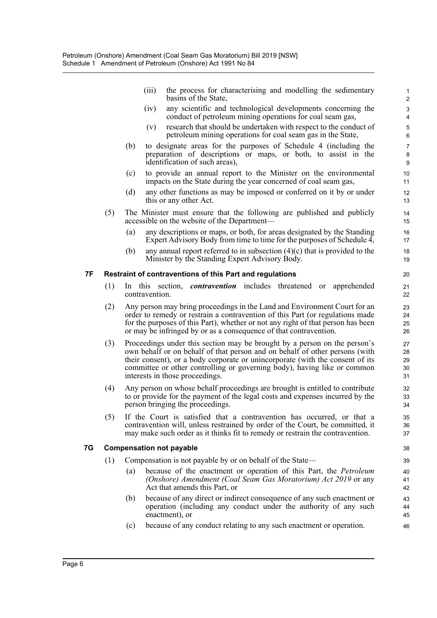|    |                                 |     | the process for characterising and modelling the sedimentary<br>(iii)<br>basins of the State,                                                                                                                                                                                                                                                            | 1<br>$\overline{2}$                         |  |  |
|----|---------------------------------|-----|----------------------------------------------------------------------------------------------------------------------------------------------------------------------------------------------------------------------------------------------------------------------------------------------------------------------------------------------------------|---------------------------------------------|--|--|
|    |                                 |     | any scientific and technological developments concerning the<br>(iv)<br>conduct of petroleum mining operations for coal seam gas,                                                                                                                                                                                                                        | $\ensuremath{\mathsf{3}}$<br>$\overline{4}$ |  |  |
|    |                                 |     | research that should be undertaken with respect to the conduct of<br>(v)<br>petroleum mining operations for coal seam gas in the State,                                                                                                                                                                                                                  | $\mathbf 5$<br>6                            |  |  |
|    |                                 | (b) | to designate areas for the purposes of Schedule 4 (including the<br>preparation of descriptions or maps, or both, to assist in the<br>identification of such areas),                                                                                                                                                                                     | $\overline{7}$<br>8<br>9                    |  |  |
|    |                                 | (c) | to provide an annual report to the Minister on the environmental<br>impacts on the State during the year concerned of coal seam gas,                                                                                                                                                                                                                     | 10<br>11                                    |  |  |
|    |                                 | (d) | any other functions as may be imposed or conferred on it by or under<br>this or any other Act.                                                                                                                                                                                                                                                           | 12<br>13                                    |  |  |
|    | (5)                             |     | The Minister must ensure that the following are published and publicly<br>accessible on the website of the Department—                                                                                                                                                                                                                                   | 14<br>15                                    |  |  |
|    |                                 | (a) | any descriptions or maps, or both, for areas designated by the Standing<br>Expert Advisory Body from time to time for the purposes of Schedule 4,                                                                                                                                                                                                        | 16<br>17                                    |  |  |
|    |                                 | (b) | any annual report referred to in subsection $(4)(c)$ that is provided to the<br>Minister by the Standing Expert Advisory Body.                                                                                                                                                                                                                           | 18<br>19                                    |  |  |
| 7F |                                 |     | Restraint of contraventions of this Part and regulations                                                                                                                                                                                                                                                                                                 | 20                                          |  |  |
|    | (1)                             |     | In this section, <i>contravention</i> includes threatened<br>or apprehended<br>contravention.                                                                                                                                                                                                                                                            | 21<br>22                                    |  |  |
|    | (2)                             |     | Any person may bring proceedings in the Land and Environment Court for an<br>order to remedy or restrain a contravention of this Part (or regulations made<br>for the purposes of this Part), whether or not any right of that person has been<br>or may be infringed by or as a consequence of that contravention.                                      | 23<br>24<br>25<br>26                        |  |  |
|    | (3)                             |     | Proceedings under this section may be brought by a person on the person's<br>own behalf or on behalf of that person and on behalf of other persons (with<br>their consent), or a body corporate or unincorporate (with the consent of its<br>committee or other controlling or governing body), having like or common<br>interests in those proceedings. | 27<br>28<br>29<br>30<br>31                  |  |  |
|    | (4)                             |     | Any person on whose behalf proceedings are brought is entitled to contribute<br>to or provide for the payment of the legal costs and expenses incurred by the<br>person bringing the proceedings.                                                                                                                                                        | 32<br>33<br>34                              |  |  |
|    | (5)                             |     | If the Court is satisfied that a contravention has occurred, or that a<br>contravention will, unless restrained by order of the Court, be committed, it<br>may make such order as it thinks fit to remedy or restrain the contravention.                                                                                                                 | 35<br>36<br>37                              |  |  |
| 7G | <b>Compensation not payable</b> |     |                                                                                                                                                                                                                                                                                                                                                          |                                             |  |  |
|    | (1)                             |     | Compensation is not payable by or on behalf of the State-                                                                                                                                                                                                                                                                                                | 39                                          |  |  |
|    |                                 | (a) | because of the enactment or operation of this Part, the Petroleum<br>(Onshore) Amendment (Coal Seam Gas Moratorium) Act 2019 or any<br>Act that amends this Part, or                                                                                                                                                                                     | 40<br>41<br>42                              |  |  |
|    |                                 | (b) | because of any direct or indirect consequence of any such enactment or<br>operation (including any conduct under the authority of any such<br>enactment), or                                                                                                                                                                                             | 43<br>44<br>45                              |  |  |
|    |                                 | (c) | because of any conduct relating to any such enactment or operation.                                                                                                                                                                                                                                                                                      | 46                                          |  |  |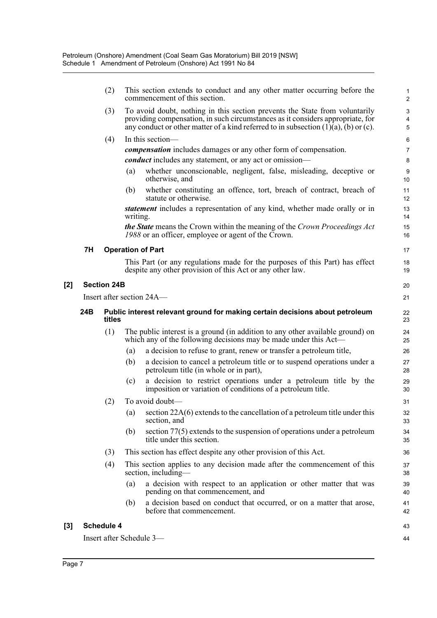|       |     | (2)                | This section extends to conduct and any other matter occurring before the<br>commencement of this section.                                                                                                                                                   | 1<br>$\overline{2}$                                        |
|-------|-----|--------------------|--------------------------------------------------------------------------------------------------------------------------------------------------------------------------------------------------------------------------------------------------------------|------------------------------------------------------------|
|       |     | (3)                | To avoid doubt, nothing in this section prevents the State from voluntarily<br>providing compensation, in such circumstances as it considers appropriate, for<br>any conduct or other matter of a kind referred to in subsection $(1)(a)$ , $(b)$ or $(c)$ . | $\ensuremath{\mathsf{3}}$<br>$\overline{4}$<br>$\mathbf 5$ |
|       |     | (4)                | In this section-                                                                                                                                                                                                                                             | 6                                                          |
|       |     |                    | <i>compensation</i> includes damages or any other form of compensation.                                                                                                                                                                                      | $\overline{7}$                                             |
|       |     |                    | <i>conduct</i> includes any statement, or any act or omission—                                                                                                                                                                                               | 8                                                          |
|       |     |                    | whether unconscionable, negligent, false, misleading, deceptive or<br>(a)<br>otherwise, and                                                                                                                                                                  | $\boldsymbol{9}$<br>10                                     |
|       |     |                    | whether constituting an offence, tort, breach of contract, breach of<br>(b)<br>statute or otherwise.                                                                                                                                                         | 11<br>12                                                   |
|       |     |                    | <i>statement</i> includes a representation of any kind, whether made orally or in<br>writing.                                                                                                                                                                | 13<br>14                                                   |
|       |     |                    | <b>the State</b> means the Crown within the meaning of the Crown Proceedings Act<br>1988 or an officer, employee or agent of the Crown.                                                                                                                      | 15<br>16                                                   |
|       | 7H  |                    | <b>Operation of Part</b>                                                                                                                                                                                                                                     | 17                                                         |
|       |     |                    | This Part (or any regulations made for the purposes of this Part) has effect<br>despite any other provision of this Act or any other law.                                                                                                                    | 18<br>19                                                   |
| $[2]$ |     | <b>Section 24B</b> |                                                                                                                                                                                                                                                              | 20                                                         |
|       |     |                    | Insert after section 24A—                                                                                                                                                                                                                                    | 21                                                         |
|       | 24B | titles             | Public interest relevant ground for making certain decisions about petroleum                                                                                                                                                                                 | 22<br>23                                                   |
|       |     | (1)                | The public interest is a ground (in addition to any other available ground) on<br>which any of the following decisions may be made under this Act—                                                                                                           | 24<br>25                                                   |
|       |     |                    | (a)<br>a decision to refuse to grant, renew or transfer a petroleum title,                                                                                                                                                                                   | 26                                                         |
|       |     |                    | a decision to cancel a petroleum title or to suspend operations under a<br>(b)<br>petroleum title (in whole or in part),                                                                                                                                     | 27<br>28                                                   |
|       |     |                    | a decision to restrict operations under a petroleum title by the<br>(c)<br>imposition or variation of conditions of a petroleum title.                                                                                                                       | 29<br>30                                                   |
|       |     | (2)                | To avoid doubt-                                                                                                                                                                                                                                              | 31                                                         |
|       |     |                    | section 22A(6) extends to the cancellation of a petroleum title under this<br>$\left( a\right)$<br>section, and                                                                                                                                              | 32<br>33                                                   |
|       |     |                    | section $77(5)$ extends to the suspension of operations under a petroleum<br>(b)<br>title under this section.                                                                                                                                                | 34<br>35                                                   |
|       |     | (3)                | This section has effect despite any other provision of this Act.                                                                                                                                                                                             | 36                                                         |
|       |     | (4)                | This section applies to any decision made after the commencement of this<br>section, including—                                                                                                                                                              | 37<br>38                                                   |
|       |     |                    | a decision with respect to an application or other matter that was<br>(a)<br>pending on that commencement, and                                                                                                                                               | 39<br>40                                                   |
|       |     |                    | a decision based on conduct that occurred, or on a matter that arose,<br>(b)<br>before that commencement.                                                                                                                                                    | 41<br>42                                                   |
| $[3]$ |     | Schedule 4         |                                                                                                                                                                                                                                                              | 43                                                         |
|       |     |                    | Insert after Schedule 3-                                                                                                                                                                                                                                     | 44                                                         |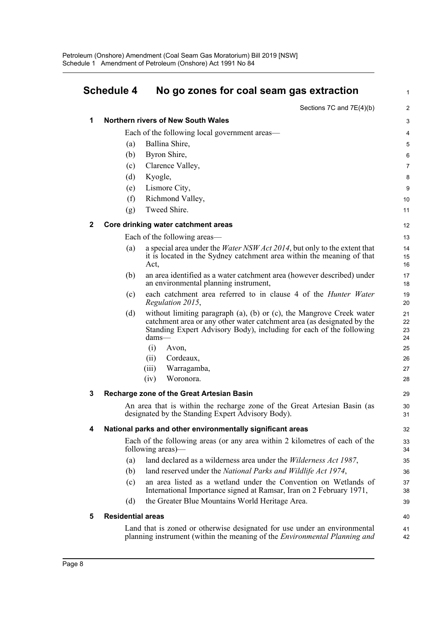|              | <b>Schedule 4</b>        | No go zones for coal seam gas extraction                                                                                                                      | $\mathbf{1}$   |
|--------------|--------------------------|---------------------------------------------------------------------------------------------------------------------------------------------------------------|----------------|
|              |                          | Sections 7C and 7E(4)(b)                                                                                                                                      | $\overline{2}$ |
| 1            |                          | Northern rivers of New South Wales                                                                                                                            | 3              |
|              |                          | Each of the following local government areas-                                                                                                                 | 4              |
|              | (a)                      | Ballina Shire,                                                                                                                                                | 5              |
|              | (b)                      | Byron Shire,                                                                                                                                                  | 6              |
|              | (c)                      | Clarence Valley,                                                                                                                                              | $\overline{7}$ |
|              | (d)                      | Kyogle,                                                                                                                                                       | 8              |
|              | (e)                      | Lismore City,                                                                                                                                                 | 9              |
|              | (f)                      | Richmond Valley,                                                                                                                                              | 10             |
|              | (g)                      | Tweed Shire.                                                                                                                                                  | 11             |
| $\mathbf{2}$ |                          | Core drinking water catchment areas                                                                                                                           | 12             |
|              |                          | Each of the following areas—                                                                                                                                  | 13             |
|              | (a)                      | a special area under the <i>Water NSW Act 2014</i> , but only to the extent that                                                                              | 14             |
|              |                          | it is located in the Sydney catchment area within the meaning of that<br>Act,                                                                                 | 15<br>16       |
|              | (b)                      | an area identified as a water catchment area (however described) under                                                                                        | 17             |
|              |                          | an environmental planning instrument,                                                                                                                         | 18             |
|              | (c)                      | each catchment area referred to in clause 4 of the <i>Hunter Water</i><br>Regulation 2015,                                                                    | 19<br>20       |
|              | (d)                      | without limiting paragraph $(a)$ , $(b)$ or $(c)$ , the Mangrove Creek water                                                                                  | 21             |
|              |                          | catchment area or any other water catchment area (as designated by the<br>Standing Expert Advisory Body), including for each of the following                 | 22<br>23       |
|              |                          | dams-                                                                                                                                                         | 24             |
|              |                          | (i)<br>Avon,                                                                                                                                                  | 25             |
|              |                          | Cordeaux,<br>(ii)                                                                                                                                             | 26             |
|              |                          | Warragamba,<br>(iii)                                                                                                                                          | 27             |
|              |                          | Woronora.<br>(iv)                                                                                                                                             | 28             |
| 3            |                          | <b>Recharge zone of the Great Artesian Basin</b>                                                                                                              | 29             |
|              |                          | An area that is within the recharge zone of the Great Artesian Basin (as<br>designated by the Standing Expert Advisory Body).                                 | 30<br>31       |
| 4            |                          | National parks and other environmentally significant areas                                                                                                    | 32             |
|              |                          | Each of the following areas (or any area within 2 kilometres of each of the<br>following areas)—                                                              | 33<br>34       |
|              | (a)                      | land declared as a wilderness area under the Wilderness Act 1987,                                                                                             | 35             |
|              | (b)                      | land reserved under the National Parks and Wildlife Act 1974,                                                                                                 | 36             |
|              | (c)                      | an area listed as a wetland under the Convention on Wetlands of<br>International Importance signed at Ramsar, Iran on 2 February 1971,                        | 37<br>38       |
|              | (d)                      | the Greater Blue Mountains World Heritage Area.                                                                                                               | 39             |
| 5            | <b>Residential areas</b> |                                                                                                                                                               | 40             |
|              |                          | Land that is zoned or otherwise designated for use under an environmental<br>planning instrument (within the meaning of the <i>Environmental Planning and</i> | 41<br>42       |